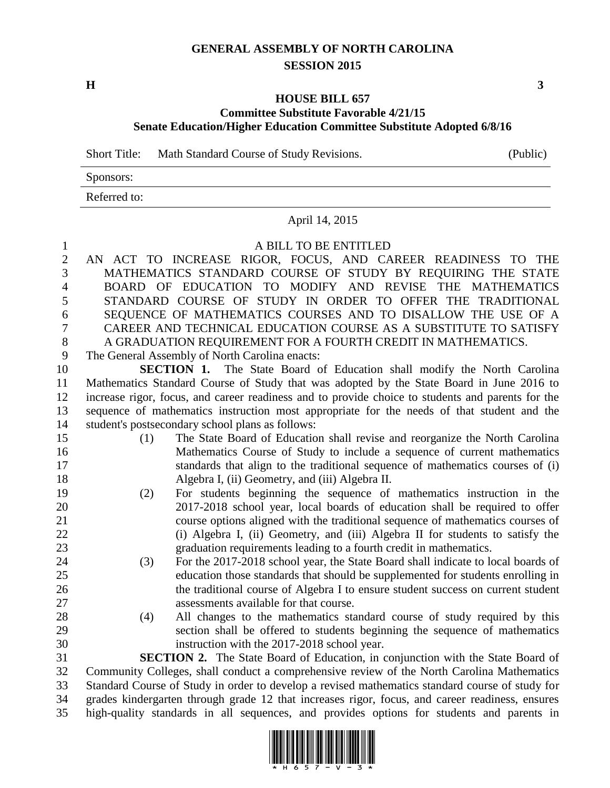# **GENERAL ASSEMBLY OF NORTH CAROLINA SESSION 2015**

### **HOUSE BILL 657 Committee Substitute Favorable 4/21/15 Senate Education/Higher Education Committee Substitute Adopted 6/8/16**

Short Title: Math Standard Course of Study Revisions. (Public)

| Sponsors:    |  |
|--------------|--|
| Referred to: |  |

#### April 14, 2015

#### A BILL TO BE ENTITLED

 AN ACT TO INCREASE RIGOR, FOCUS, AND CAREER READINESS TO THE MATHEMATICS STANDARD COURSE OF STUDY BY REQUIRING THE STATE BOARD OF EDUCATION TO MODIFY AND REVISE THE MATHEMATICS STANDARD COURSE OF STUDY IN ORDER TO OFFER THE TRADITIONAL SEQUENCE OF MATHEMATICS COURSES AND TO DISALLOW THE USE OF A CAREER AND TECHNICAL EDUCATION COURSE AS A SUBSTITUTE TO SATISFY A GRADUATION REQUIREMENT FOR A FOURTH CREDIT IN MATHEMATICS.

The General Assembly of North Carolina enacts:

 **SECTION 1.** The State Board of Education shall modify the North Carolina Mathematics Standard Course of Study that was adopted by the State Board in June 2016 to increase rigor, focus, and career readiness and to provide choice to students and parents for the sequence of mathematics instruction most appropriate for the needs of that student and the student's postsecondary school plans as follows:

- (1) The State Board of Education shall revise and reorganize the North Carolina Mathematics Course of Study to include a sequence of current mathematics standards that align to the traditional sequence of mathematics courses of (i) Algebra I, (ii) Geometry, and (iii) Algebra II.
- (2) For students beginning the sequence of mathematics instruction in the 2017-2018 school year, local boards of education shall be required to offer course options aligned with the traditional sequence of mathematics courses of (i) Algebra I, (ii) Geometry, and (iii) Algebra II for students to satisfy the graduation requirements leading to a fourth credit in mathematics.
- (3) For the 2017-2018 school year, the State Board shall indicate to local boards of education those standards that should be supplemented for students enrolling in the traditional course of Algebra I to ensure student success on current student assessments available for that course.
- (4) All changes to the mathematics standard course of study required by this section shall be offered to students beginning the sequence of mathematics instruction with the 2017-2018 school year.

 **SECTION 2.** The State Board of Education, in conjunction with the State Board of Community Colleges, shall conduct a comprehensive review of the North Carolina Mathematics Standard Course of Study in order to develop a revised mathematics standard course of study for grades kindergarten through grade 12 that increases rigor, focus, and career readiness, ensures high-quality standards in all sequences, and provides options for students and parents in



**H 3**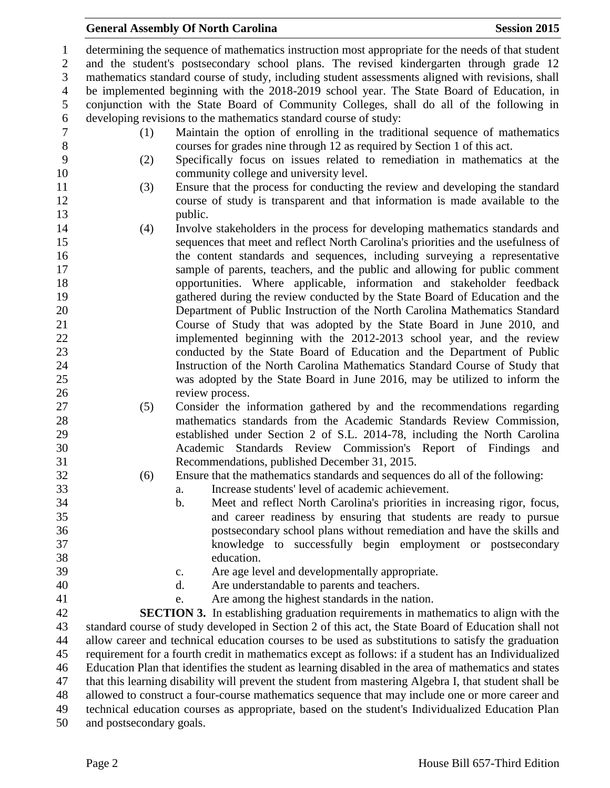## **General Assembly Of North Carolina Session 2015**

 determining the sequence of mathematics instruction most appropriate for the needs of that student and the student's postsecondary school plans. The revised kindergarten through grade 12 mathematics standard course of study, including student assessments aligned with revisions, shall be implemented beginning with the 2018-2019 school year. The State Board of Education, in conjunction with the State Board of Community Colleges, shall do all of the following in developing revisions to the mathematics standard course of study: (1) Maintain the option of enrolling in the traditional sequence of mathematics courses for grades nine through 12 as required by Section 1 of this act. (2) Specifically focus on issues related to remediation in mathematics at the community college and university level. (3) Ensure that the process for conducting the review and developing the standard course of study is transparent and that information is made available to the 13 public. (4) Involve stakeholders in the process for developing mathematics standards and sequences that meet and reflect North Carolina's priorities and the usefulness of the content standards and sequences, including surveying a representative sample of parents, teachers, and the public and allowing for public comment opportunities. Where applicable, information and stakeholder feedback gathered during the review conducted by the State Board of Education and the Department of Public Instruction of the North Carolina Mathematics Standard Course of Study that was adopted by the State Board in June 2010, and implemented beginning with the 2012-2013 school year, and the review conducted by the State Board of Education and the Department of Public Instruction of the North Carolina Mathematics Standard Course of Study that was adopted by the State Board in June 2016, may be utilized to inform the 26 review process. (5) Consider the information gathered by and the recommendations regarding mathematics standards from the Academic Standards Review Commission, established under Section 2 of S.L. 2014-78, including the North Carolina Academic Standards Review Commission's Report of Findings and Recommendations, published December 31, 2015. (6) Ensure that the mathematics standards and sequences do all of the following: a. Increase students' level of academic achievement. b. Meet and reflect North Carolina's priorities in increasing rigor, focus, and career readiness by ensuring that students are ready to pursue postsecondary school plans without remediation and have the skills and knowledge to successfully begin employment or postsecondary education. c. Are age level and developmentally appropriate. d. Are understandable to parents and teachers. e. Are among the highest standards in the nation. **SECTION 3.** In establishing graduation requirements in mathematics to align with the standard course of study developed in Section 2 of this act, the State Board of Education shall not allow career and technical education courses to be used as substitutions to satisfy the graduation requirement for a fourth credit in mathematics except as follows: if a student has an Individualized Education Plan that identifies the student as learning disabled in the area of mathematics and states that this learning disability will prevent the student from mastering Algebra I, that student shall be allowed to construct a four-course mathematics sequence that may include one or more career and technical education courses as appropriate, based on the student's Individualized Education Plan and postsecondary goals.